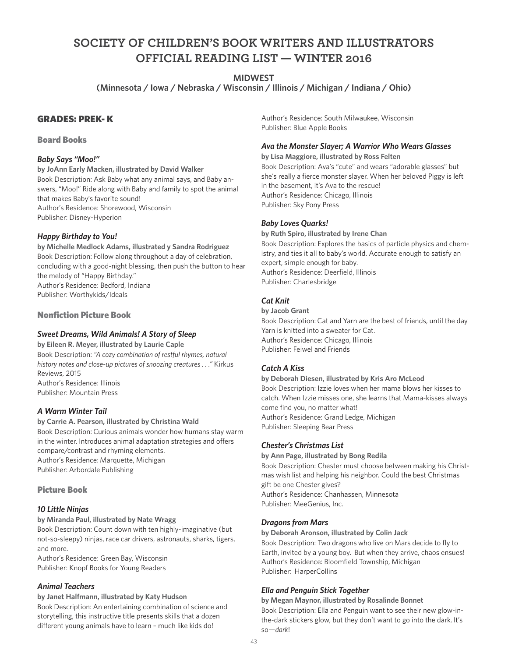# **SOCIETY OF CHILDREN'S BOOK WRITERS AND ILLUSTRATORS OFFICIAL READING LIST — WINTER 2016**

### **MIDWEST**

**(Minnesota / Iowa / Nebraska / Wisconsin / Illinois / Michigan / Indiana / Ohio)**

### GRADES: PREK- K

### Board Books

### *Baby Says "Moo!"*

**by JoAnn Early Macken, illustrated by David Walker** Book Description: Ask Baby what any animal says, and Baby answers, "Moo!" Ride along with Baby and family to spot the animal that makes Baby's favorite sound! Author's Residence: Shorewood, Wisconsin Publisher: Disney-Hyperion

### *Happy Birthday to You!*

**by Michelle Medlock Adams, illustrated y Sandra Rodriguez** Book Description: Follow along throughout a day of celebration, concluding with a good-night blessing, then push the button to hear the melody of "Happy Birthday." Author's Residence: Bedford, Indiana Publisher: Worthykids/Ideals

Nonfiction Picture Book

### *Sweet Dreams, Wild Animals! A Story of Sleep*

**by Eileen R. Meyer, illustrated by Laurie Caple** Book Description: *"A cozy combination of restful rhymes, natural history notes and close-up pictures of snoozing creatures . . ."* Kirkus Reviews, 2015 Author's Residence: Illinois Publisher: Mountain Press

### *A Warm Winter Tail*

**by Carrie A. Pearson, illustrated by Christina Wald** Book Description: Curious animals wonder how humans stay warm in the winter. Introduces animal adaptation strategies and offers compare/contrast and rhyming elements. Author's Residence: Marquette, Michigan Publisher: Arbordale Publishing

### Picture Book

### *10 Little Ninjas*

#### **by Miranda Paul, illustrated by Nate Wragg**

Book Description: Count down with ten highly-imaginative (but not-so-sleepy) ninjas, race car drivers, astronauts, sharks, tigers, and more.

Author's Residence: Green Bay, Wisconsin Publisher: Knopf Books for Young Readers

### *Animal Teachers*

#### **by Janet Halfmann, illustrated by Katy Hudson**

Book Description: An entertaining combination of science and storytelling, this instructive title presents skills that a dozen different young animals have to learn – much like kids do!

Author's Residence: South Milwaukee, Wisconsin Publisher: Blue Apple Books

### *Ava the Monster Slayer; A Warrior Who Wears Glasses*

**by Lisa Maggiore, illustrated by Ross Felten** Book Description: Ava's "cute" and wears "adorable glasses" but she's really a fierce monster slayer. When her beloved Piggy is left in the basement, it's Ava to the rescue! Author's Residence: Chicago, Illinois Publisher: Sky Pony Press

### *Baby Loves Quarks!*

**by Ruth Spiro, illustrated by Irene Chan** Book Description: Explores the basics of particle physics and chemistry, and ties it all to baby's world. Accurate enough to satisfy an expert, simple enough for baby. Author's Residence: Deerfield, Illinois Publisher: Charlesbridge

### *Cat Knit*

#### **by Jacob Grant**

Book Description: Cat and Yarn are the best of friends, until the day Yarn is knitted into a sweater for Cat. Author's Residence: Chicago, Illinois Publisher: Feiwel and Friends

### *Catch A Kiss*

**by Deborah Diesen, illustrated by Kris Aro McLeod** Book Description: Izzie loves when her mama blows her kisses to catch. When Izzie misses one, she learns that Mama-kisses always come find you, no matter what! Author's Residence: Grand Ledge, Michigan Publisher: Sleeping Bear Press

### *Chester's Christmas List*

**by Ann Page, illustrated by Bong Redila** Book Description: Chester must choose between making his Christmas wish list and helping his neighbor. Could the best Christmas gift be one Chester gives? Author's Residence: Chanhassen, Minnesota Publisher: MeeGenius, Inc.

### *Dragons from Mars*

**by Deborah Aronson, illustrated by Colin Jack**

Book Description: Two dragons who live on Mars decide to fly to Earth, invited by a young boy. But when they arrive, chaos ensues! Author's Residence: Bloomfield Township, Michigan Publisher: HarperCollins

### *Ella and Penguin Stick Together*

**by Megan Maynor, illustrated by Rosalinde Bonnet**

Book Description: Ella and Penguin want to see their new glow-inthe-dark stickers glow, but they don't want to go into the dark. It's so*—dark*!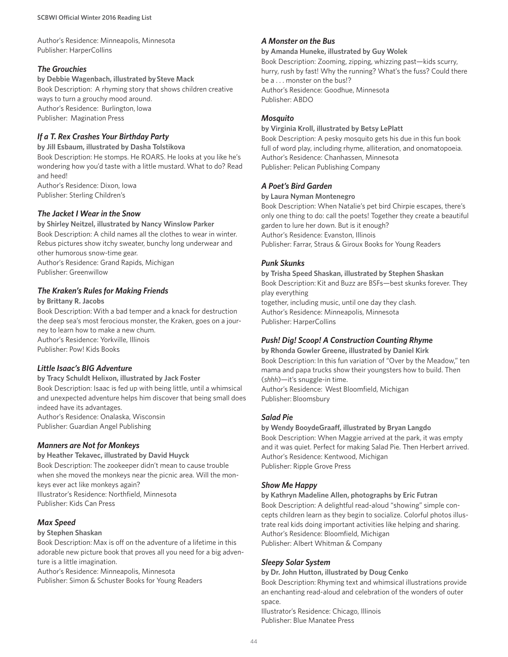Author's Residence: Minneapolis, Minnesota Publisher: HarperCollins

#### *The Grouchies*

#### **by Debbie Wagenbach, illustrated by Steve Mack**

Book Description: A rhyming story that shows children creative ways to turn a grouchy mood around. Author's Residence: Burlington, Iowa Publisher: Magination Press

### *If a T. Rex Crashes Your Birthday Party*

**by Jill Esbaum, illustrated by Dasha Tolstikova** Book Description: He stomps. He ROARS. He looks at you like he's wondering how you'd taste with a little mustard. What to do? Read and heed! Author's Residence: Dixon, Iowa Publisher: Sterling Children's

*The Jacket I Wear in the Snow*

**by Shirley Neitzel, illustrated by Nancy Winslow Parker** Book Description: A child names all the clothes to wear in winter. Rebus pictures show itchy sweater, bunchy long underwear and other humorous snow-time gear.

Author's Residence: Grand Rapids, Michigan Publisher: Greenwillow

#### *The Kraken's Rules for Making Friends*

**by Brittany R. Jacobs**

Book Description: With a bad temper and a knack for destruction the deep sea's most ferocious monster, the Kraken, goes on a journey to learn how to make a new chum. Author's Residence: Yorkville, Illinois Publisher: Pow! Kids Books

### *Little Isaac's BIG Adventure*

**by Tracy Schuldt Helixon, illustrated by Jack Foster**

Book Description: Isaac is fed up with being little, until a whimsical and unexpected adventure helps him discover that being small does indeed have its advantages. Author's Residence: Onalaska, Wisconsin

Publisher: Guardian Angel Publishing

### *Manners are Not for Monkeys*

**by Heather Tekavec, illustrated by David Huyck** 

Book Description: The zookeeper didn't mean to cause trouble when she moved the monkeys near the picnic area. Will the monkeys ever act like monkeys again? Illustrator's Residence: Northfield, Minnesota Publisher: Kids Can Press

### *Max Speed*

#### **by Stephen Shaskan**

Book Description: Max is off on the adventure of a lifetime in this adorable new picture book that proves all you need for a big adventure is a little imagination.

Author's Residence: Minneapolis, Minnesota

Publisher: Simon & Schuster Books for Young Readers

#### *A Monster on the Bus*

#### **by Amanda Huneke, illustrated by Guy Wolek**

Book Description: Zooming, zipping, whizzing past—kids scurry, hurry, rush by fast! Why the running? What's the fuss? Could there be a . . . monster on the bus!? Author's Residence: Goodhue, Minnesota Publisher: ABDO

#### *Mosquito*

#### **by Virginia Kroll, illustrated by Betsy LePlatt**

Book Description: A pesky mosquito gets his due in this fun book full of word play, including rhyme, alliteration, and onomatopoeia. Author's Residence: Chanhassen, Minnesota Publisher: Pelican Publishing Company

#### *A Poet's Bird Garden*

#### **by Laura Nyman Montenegro**

Book Description: When Natalie's pet bird Chirpie escapes, there's only one thing to do: call the poets! Together they create a beautiful garden to lure her down. But is it enough? Author's Residence: Evanston, Illinois Publisher: Farrar, Straus & Giroux Books for Young Readers

#### *Punk Skunks*

**by Trisha Speed Shaskan, illustrated by Stephen Shaskan** Book Description: Kit and Buzz are BSFs—best skunks forever. They play everything together, including music, until one day they clash. Author's Residence: Minneapolis, Minnesota Publisher: HarperCollins

### *Push! Dig! Scoop! A Construction Counting Rhyme*

**by Rhonda Gowler Greene, illustrated by Daniel Kirk** Book Description: In this fun variation of "Over by the Meadow," ten mama and papa trucks show their youngsters how to build. Then (*shhh*)—it's snuggle-in time. Author's Residence: West Bloomfield, Michigan Publisher: Bloomsbury

### *Salad Pie*

#### **by Wendy BooydeGraaff, illustrated by Bryan Langdo**

Book Description: When Maggie arrived at the park, it was empty and it was quiet. Perfect for making Salad Pie. Then Herbert arrived. Author's Residence: Kentwood, Michigan Publisher: Ripple Grove Press

### *Show Me Happy*

**by Kathryn Madeline Allen, photographs by Eric Futran** Book Description: A delightful read-aloud "showing" simple concepts children learn as they begin to socialize. Colorful photos illustrate real kids doing important activities like helping and sharing. Author's Residence: Bloomfield, Michigan Publisher: Albert Whitman & Company

#### *Sleepy Solar System*

#### **by Dr. John Hutton, illustrated by Doug Cenko**

Book Description: Rhyming text and whimsical illustrations provide an enchanting read-aloud and celebration of the wonders of outer space.

Illustrator's Residence: Chicago, Illinois Publisher: Blue Manatee Press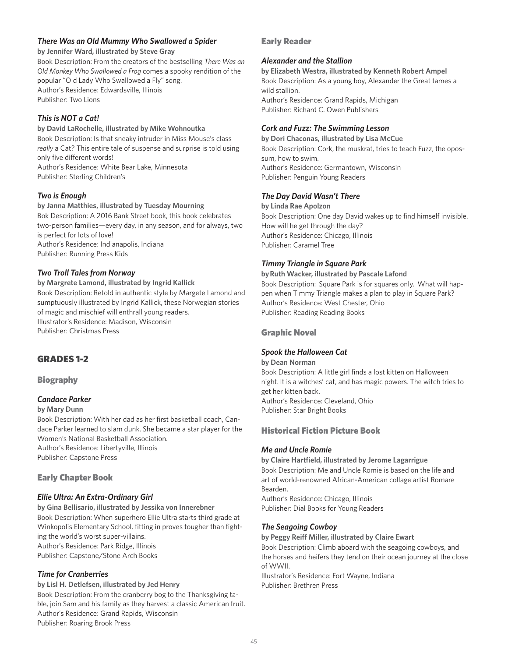### *There Was an Old Mummy Who Swallowed a Spider*

**by Jennifer Ward, illustrated by Steve Gray** Book Description: From the creators of the bestselling *There Was an Old Monkey Who Swallowed a Frog* comes a spooky rendition of the popular "Old Lady Who Swallowed a Fly" song. Author's Residence: Edwardsville, Illinois Publisher: Two Lions

### *This is NOT a Cat!*

**by David LaRochelle, illustrated by Mike Wohnoutka** Book Description: Is that sneaky intruder in Miss Mouse's class *really* a Cat? This entire tale of suspense and surprise is told using only five different words! Author's Residence: White Bear Lake, Minnesota Publisher: Sterling Children's

### *Two is Enough*

**by Janna Matthies, illustrated by Tuesday Mourning** Bok Description: A 2016 Bank Street book, this book celebrates two-person families—every day, in any season, and for always, two is perfect for lots of love! Author's Residence: Indianapolis, Indiana Publisher: Running Press Kids

### *Two Troll Tales from Norway*

**by Margrete Lamond, illustrated by Ingrid Kallick** Book Description: Retold in authentic style by Margete Lamond and sumptuously illustrated by Ingrid Kallick, these Norwegian stories of magic and mischief will enthrall young readers. Illustrator's Residence: Madison, Wisconsin Publisher: Christmas Press

# GRADES 1-2

### Biography

### *Candace Parker*

#### **by Mary Dunn**

Book Description: With her dad as her first basketball coach, Candace Parker learned to slam dunk. She became a star player for the Women's National Basketball Association. Author's Residence: Libertyville, Illinois Publisher: Capstone Press

### Early Chapter Book

### *Ellie Ultra: An Extra-Ordinary Girl*

**by Gina Bellisario, illustrated by Jessika von Innerebner** Book Description: When superhero Ellie Ultra starts third grade at Winkopolis Elementary School, fitting in proves tougher than fighting the world's worst super-villains. Author's Residence: Park Ridge, Illinois Publisher: Capstone/Stone Arch Books

### *Time for Cranberries*

**by Lisl H. Detlefsen, illustrated by Jed Henry** Book Description: From the cranberry bog to the Thanksgiving table, join Sam and his family as they harvest a classic American fruit. Author's Residence: Grand Rapids, Wisconsin Publisher: Roaring Brook Press

### Early Reader

### *Alexander and the Stallion*

**by Elizabeth Westra, illustrated by Kenneth Robert Ampel** Book Description: As a young boy, Alexander the Great tames a wild stallion. Author's Residence: Grand Rapids, Michigan Publisher: Richard C. Owen Publishers

### *Cork and Fuzz: The Swimming Lesson*

**by Dori Chaconas, illustrated by Lisa McCue** Book Description: Cork, the muskrat, tries to teach Fuzz, the opossum, how to swim. Author's Residence: Germantown, Wisconsin Publisher: Penguin Young Readers

### *The Day David Wasn't There*

**by Linda Rae Apolzon** Book Description: One day David wakes up to find himself invisible. How will he get through the day? Author's Residence: Chicago, Illinois Publisher: Caramel Tree

### *Timmy Triangle in Square Park*

**by Ruth Wacker, illustrated by Pascale Lafond** Book Description: Square Park is for squares only. What will happen when Timmy Triangle makes a plan to play in Square Park? Author's Residence: West Chester, Ohio Publisher: Reading Reading Books

### Graphic Novel

### *Spook the Halloween Cat*

#### **by Dean Norman**

Book Description: A little girl finds a lost kitten on Halloween night. It is a witches' cat, and has magic powers. The witch tries to get her kitten back. Author's Residence: Cleveland, Ohio Publisher: Star Bright Books

# Historical Fiction Picture Book

### *Me and Uncle Romie*

**by Claire Hartfield, illustrated by Jerome Lagarrigue** Book Description: Me and Uncle Romie is based on the life and art of world-renowned African-American collage artist Romare Bearden.

Author's Residence: Chicago, Illinois Publisher: Dial Books for Young Readers

### *The Seagoing Cowboy*

#### **by Peggy Reiff Miller, illustrated by Claire Ewart**

Book Description: Climb aboard with the seagoing cowboys, and the horses and heifers they tend on their ocean journey at the close of WWII.

Illustrator's Residence: Fort Wayne, Indiana Publisher: Brethren Press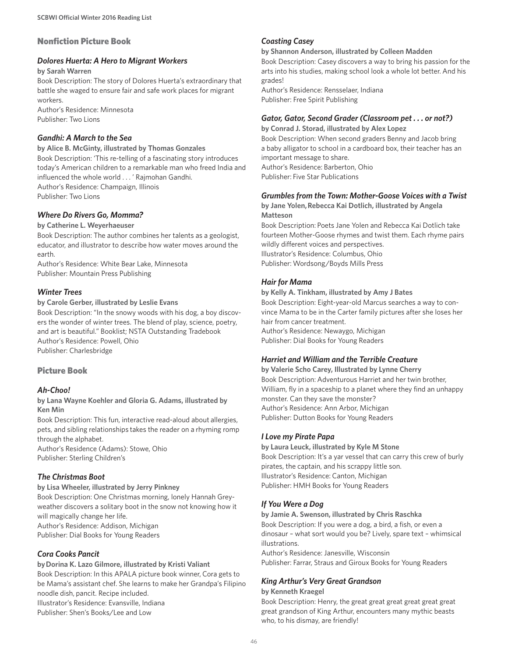### Nonfiction Picture Book

#### *Dolores Huerta: A Hero to Migrant Workers*

**by Sarah Warren**

Book Description: The story of Dolores Huerta's extraordinary that battle she waged to ensure fair and safe work places for migrant workers.

Author's Residence: Minnesota Publisher: Two Lions

### *Gandhi: A March to the Sea*

**by Alice B. McGinty, illustrated by Thomas Gonzales** Book Description: 'This re-telling of a fascinating story introduces today's American children to a remarkable man who freed India and influenced the whole world . . . ' Rajmohan Gandhi. Author's Residence: Champaign, Illinois Publisher: Two Lions

### *Where Do Rivers Go, Momma?*

#### **by Catherine L. Weyerhaeuser**

Book Description: The author combines her talents as a geologist, educator, and illustrator to describe how water moves around the earth.

Author's Residence: White Bear Lake, Minnesota Publisher: Mountain Press Publishing

### *Winter Trees*

#### **by Carole Gerber, illustrated by Leslie Evans**

Book Description: "In the snowy woods with his dog, a boy discovers the wonder of winter trees. The blend of play, science, poetry, and art is beautiful." Booklist; NSTA Outstanding Tradebook Author's Residence: Powell, Ohio Publisher: Charlesbridge

### Picture Book

### *Ah-Choo!*

**by Lana Wayne Koehler and Gloria G. Adams, illustrated by Ken Min**

Book Description: This fun, interactive read-aloud about allergies, pets, and sibling relationships takes the reader on a rhyming romp through the alphabet.

Author's Residence (Adams): Stowe, Ohio Publisher: Sterling Children's

### *The Christmas Boot*

**by Lisa Wheeler, illustrated by Jerry Pinkney** Book Description: One Christmas morning, lonely Hannah Greyweather discovers a solitary boot in the snow not knowing how it will magically change her life. Author's Residence: Addison, Michigan Publisher: Dial Books for Young Readers

### *Cora Cooks Pancit*

#### **by Dorina K. Lazo Gilmore, illustrated by Kristi Valiant**

Book Description: In this APALA picture book winner, Cora gets to be Mama's assistant chef. She learns to make her Grandpa's Filipino noodle dish, pancit. Recipe included. Illustrator's Residence: Evansville, Indiana Publisher: Shen's Books/Lee and Low

#### *Coasting Casey*

#### **by Shannon Anderson, illustrated by Colleen Madden**

Book Description: Casey discovers a way to bring his passion for the arts into his studies, making school look a whole lot better. And his grades!

Author's Residence: Rensselaer, Indiana Publisher: Free Spirit Publishing

### *Gator, Gator, Second Grader (Classroom pet . . . or not?)*

**by Conrad J. Storad, illustrated by Alex Lopez** Book Description: When second graders Benny and Jacob bring a baby alligator to school in a cardboard box, their teacher has an important message to share. Author's Residence: Barberton, Ohio Publisher: Five Star Publications

#### *Grumbles from the Town: Mother-Goose Voices with a Twist*

**by Jane Yolen, Rebecca Kai Dotlich, illustrated by Angela Matteson**

Book Description: Poets Jane Yolen and Rebecca Kai Dotlich take fourteen Mother-Goose rhymes and twist them. Each rhyme pairs wildly different voices and perspectives. Illustrator's Residence: Columbus, Ohio Publisher: Wordsong/Boyds Mills Press

### *Hair for Mama*

**by Kelly A. Tinkham, illustrated by Amy J Bates** Book Description: Eight-year-old Marcus searches a way to convince Mama to be in the Carter family pictures after she loses her hair from cancer treatment. Author's Residence: Newaygo, Michigan Publisher: Dial Books for Young Readers

### *Harriet and William and the Terrible Creature*

**by Valerie Scho Carey, Illustrated by Lynne Cherry** Book Description: Adventurous Harriet and her twin brother, William, fly in a spaceship to a planet where they find an unhappy monster. Can they save the monster? Author's Residence: Ann Arbor, Michigan Publisher: Dutton Books for Young Readers

### *I Love my Pirate Papa*

**by Laura Leuck, illustrated by Kyle M Stone** Book Description: It's a yar vessel that can carry this crew of burly pirates, the captain, and his scrappy little son. Illustrator's Residence: Canton, Michigan Publisher: HMH Books for Young Readers

### *If You Were a Dog*

#### **by Jamie A. Swenson, illustrated by Chris Raschka**

Book Description: If you were a dog, a bird, a fish, or even a dinosaur – what sort would you be? Lively, spare text – whimsical illustrations.

Author's Residence: Janesville, Wisconsin Publisher: Farrar, Straus and Giroux Books for Young Readers

### *King Arthur's Very Great Grandson*

#### **by Kenneth Kraegel**

Book Description: Henry, the great great great great great great great grandson of King Arthur, encounters many mythic beasts who, to his dismay, are friendly!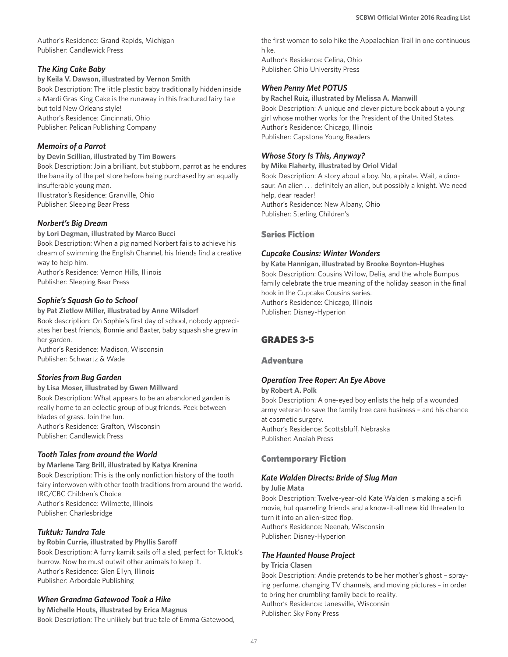Author's Residence: Grand Rapids, Michigan Publisher: Candlewick Press

### *The King Cake Baby*

**by Keila V. Dawson, illustrated by Vernon Smith** Book Description: The little plastic baby traditionally hidden inside a Mardi Gras King Cake is the runaway in this fractured fairy tale but told New Orleans style! Author's Residence: Cincinnati, Ohio Publisher: Pelican Publishing Company

### *Memoirs of a Parrot*

#### **by Devin Scillian, illustrated by Tim Bowers**

Book Description: Join a brilliant, but stubborn, parrot as he endures the banality of the pet store before being purchased by an equally insufferable young man. Illustrator's Residence: Granville, Ohio Publisher: Sleeping Bear Press

### *Norbert's Big Dream*

#### **by Lori Degman, illustrated by Marco Bucci**

Book Description: When a pig named Norbert fails to achieve his dream of swimming the English Channel, his friends find a creative way to help him.

Author's Residence: Vernon Hills, Illinois Publisher: Sleeping Bear Press

### *Sophie's Squash Go to School*

#### **by Pat Zietlow Miller, illustrated by Anne Wilsdorf** Book description: On Sophie's first day of school, nobody appreciates her best friends, Bonnie and Baxter, baby squash she grew in her garden.

Author's Residence: Madison, Wisconsin Publisher: Schwartz & Wade

### *Stories from Bug Garden*

**by Lisa Moser, illustrated by Gwen Millward** Book Description: What appears to be an abandoned garden is really home to an eclectic group of bug friends. Peek between blades of grass. Join the fun. Author's Residence: Grafton, Wisconsin Publisher: Candlewick Press

### *Tooth Tales from around the World*

**by Marlene Targ Brill, illustrated by Katya Krenina** Book Description: This is the only nonfiction history of the tooth fairy interwoven with other tooth traditions from around the world. IRC/CBC Children's Choice Author's Residence: Wilmette, Illinois Publisher: Charlesbridge

### *Tuktuk: Tundra Tale*

**by Robin Currie, illustrated by Phyllis Saroff** Book Description: A furry kamik sails off a sled, perfect for Tuktuk's burrow. Now he must outwit other animals to keep it. Author's Residence: Glen Ellyn, Illinois Publisher: Arbordale Publishing

### *When Grandma Gatewood Took a Hike*

**by Michelle Houts, illustrated by Erica Magnus** Book Description: The unlikely but true tale of Emma Gatewood, the first woman to solo hike the Appalachian Trail in one continuous hike.

Author's Residence: Celina, Ohio Publisher: Ohio University Press

### *When Penny Met POTUS*

#### **by Rachel Ruiz, illustrated by Melissa A. Manwill**

Book Description: A unique and clever picture book about a young girl whose mother works for the President of the United States. Author's Residence: Chicago, Illinois Publisher: Capstone Young Readers

## *Whose Story Is This, Anyway?*

**by Mike Flaherty, illustrated by Oriol Vidal** Book Description: A story about a boy. No, a pirate. Wait, a dinosaur. An alien . . . definitely an alien, but possibly a knight. We need help, dear reader! Author's Residence: New Albany, Ohio Publisher: Sterling Children's

## Series Fiction

### *Cupcake Cousins: Winter Wonders*

**by Kate Hannigan, illustrated by Brooke Boynton-Hughes** Book Description: Cousins Willow, Delia, and the whole Bumpus family celebrate the true meaning of the holiday season in the final book in the Cupcake Cousins series. Author's Residence: Chicago, Illinois Publisher: Disney-Hyperion

# GRADES 3-5

### **Adventure**

### *Operation Tree Roper: An Eye Above*

**by Robert A. Polk**

Book Description: A one-eyed boy enlists the help of a wounded army veteran to save the family tree care business – and his chance at cosmetic surgery. Author's Residence: Scottsbluff, Nebraska Publisher: Anaiah Press

### Contemporary Fiction

### *Kate Walden Directs: Bride of Slug Man*

**by Julie Mata**

Book Description: Twelve-year-old Kate Walden is making a sci-fi movie, but quarreling friends and a know-it-all new kid threaten to turn it into an alien-sized flop. Author's Residence: Neenah, Wisconsin Publisher: Disney-Hyperion

### *The Haunted House Project*

### **by Tricia Clasen**

Book Description: Andie pretends to be her mother's ghost – spraying perfume, changing TV channels, and moving pictures – in order to bring her crumbling family back to reality. Author's Residence: Janesville, Wisconsin Publisher: Sky Pony Press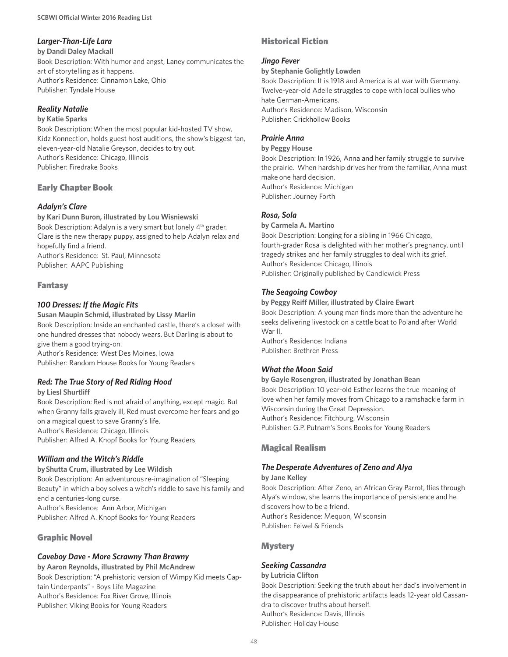# *Larger-Than-Life Lara*

**by Dandi Daley Mackall** 

Book Description: With humor and angst, Laney communicates the art of storytelling as it happens. Author's Residence: Cinnamon Lake, Ohio Publisher: Tyndale House

### *Reality Natalie*

### **by Katie Sparks**

Book Description: When the most popular kid-hosted TV show, Kidz Konnection, holds guest host auditions, the show's biggest fan, eleven-year-old Natalie Greyson, decides to try out. Author's Residence: Chicago, Illinois Publisher: Firedrake Books

# Early Chapter Book

## *Adalyn's Clare*

**by Kari Dunn Buron, illustrated by Lou Wisniewski** Book Description: Adalyn is a very smart but lonely 4<sup>th</sup> grader. Clare is the new therapy puppy, assigned to help Adalyn relax and hopefully find a friend. Author's Residence: St. Paul, Minnesota Publisher: AAPC Publishing

# Fantasy

## *100 Dresses: If the Magic Fits*

**Susan Maupin Schmid, illustrated by Lissy Marlin** Book Description: Inside an enchanted castle, there's a closet with one hundred dresses that nobody wears. But Darling is about to give them a good trying-on. Author's Residence: West Des Moines, Iowa Publisher: Random House Books for Young Readers

# *Red: The True Story of Red Riding Hood*

**by Liesl Shurtliff** Book Description: Red is not afraid of anything, except magic. But when Granny falls gravely ill, Red must overcome her fears and go on a magical quest to save Granny's life. Author's Residence: Chicago, Illinois Publisher: Alfred A. Knopf Books for Young Readers

# *William and the Witch's Riddle*

**by Shutta Crum, illustrated by Lee Wildish** Book Description: An adventurous re-imagination of "Sleeping Beauty" in which a boy solves a witch's riddle to save his family and end a centuries-long curse. Author's Residence: Ann Arbor, Michigan Publisher: Alfred A. Knopf Books for Young Readers

# Graphic Novel

# *Caveboy Dave - More Scrawny Than Brawny*

**by Aaron Reynolds, illustrated by Phil McAndrew** Book Description: "A prehistoric version of Wimpy Kid meets Captain Underpants" - Boys Life Magazine Author's Residence: Fox River Grove, Illinois Publisher: Viking Books for Young Readers

# Historical Fiction

### *Jingo Fever*

**by Stephanie Golightly Lowden**

Book Description: It is 1918 and America is at war with Germany. Twelve-year-old Adelle struggles to cope with local bullies who hate German-Americans. Author's Residence: Madison, Wisconsin Publisher: Crickhollow Books

## *Prairie Anna*

#### **by Peggy House**

Book Description: In 1926, Anna and her family struggle to survive the prairie. When hardship drives her from the familiar, Anna must make one hard decision. Author's Residence: Michigan Publisher: Journey Forth

### *Rosa, Sola*

### **by Carmela A. Martino**

Book Description: Longing for a sibling in 1966 Chicago, fourth-grader Rosa is delighted with her mother's pregnancy, until tragedy strikes and her family struggles to deal with its grief. Author's Residence: Chicago, Illinois Publisher: Originally published by Candlewick Press

# *The Seagoing Cowboy*

#### **by Peggy Reiff Miller, illustrated by Claire Ewart** Book Description: A young man finds more than the adventure he seeks delivering livestock on a cattle boat to Poland after World War II.

Author's Residence: Indiana Publisher: Brethren Press

# *What the Moon Said*

### **by Gayle Rosengren, illustrated by Jonathan Bean** Book Description: 10 year-old Esther learns the true meaning of love when her family moves from Chicago to a ramshackle farm in Wisconsin during the Great Depression. Author's Residence: Fitchburg, Wisconsin Publisher: G.P. Putnam's Sons Books for Young Readers

# Magical Realism

### *The Desperate Adventures of Zeno and Alya*

### **by Jane Kelley** Book Description: After Zeno, an African Gray Parrot, flies through Alya's window, she learns the importance of persistence and he discovers how to be a friend. Author's Residence: Mequon, Wisconsin Publisher: Feiwel & Friends

# **Mystery**

# *Seeking Cassandra*

### **by Lutricia Clifton** Book Description: Seeking the truth about her dad's involvement in the disappearance of prehistoric artifacts leads 12-year old Cassandra to discover truths about herself. Author's Residence: Davis, Illinois Publisher: Holiday House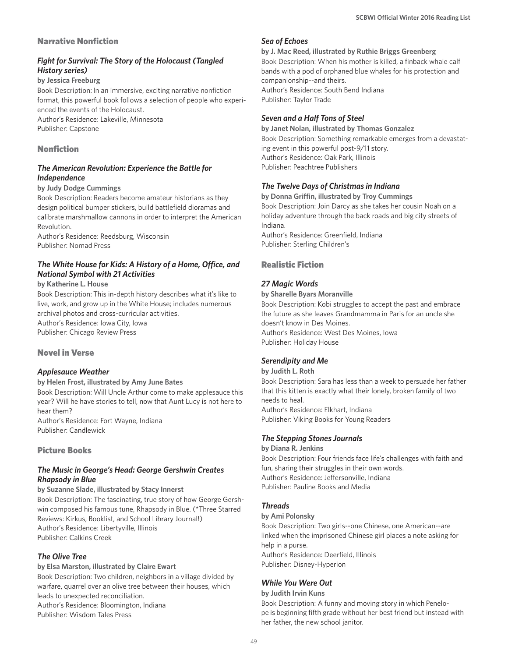### Narrative Nonfiction

### *Fight for Survival: The Story of the Holocaust (Tangled History series)*

**by Jessica Freeburg**

Book Description: In an immersive, exciting narrative nonfiction format, this powerful book follows a selection of people who experienced the events of the Holocaust. Author's Residence: Lakeville, Minnesota

Publisher: Capstone

### Nonfiction

### *The American Revolution: Experience the Battle for Independence*

#### **by Judy Dodge Cummings**

Book Description: Readers become amateur historians as they design political bumper stickers, build battlefield dioramas and calibrate marshmallow cannons in order to interpret the American Revolution.

Author's Residence: Reedsburg, Wisconsin Publisher: Nomad Press

### *The White House for Kids: A History of a Home, Office, and National Symbol with 21 Activities*

#### **by Katherine L. House**

Book Description: This in-depth history describes what it's like to live, work, and grow up in the White House; includes numerous archival photos and cross-curricular activities. Author's Residence: Iowa City, Iowa Publisher: Chicago Review Press

### Novel in Verse

### *Applesauce Weather*

#### **by Helen Frost, illustrated by Amy June Bates**

Book Description: Will Uncle Arthur come to make applesauce this year? Will he have stories to tell, now that Aunt Lucy is not here to hear them?

Author's Residence: Fort Wayne, Indiana Publisher: Candlewick

### Picture Books

### *The Music in George's Head: George Gershwin Creates Rhapsody in Blue*

**by Suzanne Slade, illustrated by Stacy Innerst** Book Description: The fascinating, true story of how George Gershwin composed his famous tune, Rhapsody in Blue. (\*Three Starred Reviews: Kirkus, Booklist, and School Library Journal!) Author's Residence: Libertyville, Illinois Publisher: Calkins Creek

### *The Olive Tree*

#### **by Elsa Marston, illustrated by Claire Ewart**

Book Description: Two children, neighbors in a village divided by warfare, quarrel over an olive tree between their houses, which leads to unexpected reconciliation.

Author's Residence: Bloomington, Indiana Publisher: Wisdom Tales Press

### *Sea of Echoes*

**by J. Mac Reed, illustrated by Ruthie Briggs Greenberg** Book Description: When his mother is killed, a finback whale calf bands with a pod of orphaned blue whales for his protection and companionship--and theirs. Author's Residence: South Bend Indiana Publisher: Taylor Trade

### *Seven and a Half Tons of Steel*

**by Janet Nolan, illustrated by Thomas Gonzalez** Book Description: Something remarkable emerges from a devastating event in this powerful post-9/11 story. Author's Residence: Oak Park, Illinois Publisher: Peachtree Publishers

### *The Twelve Days of Christmas in Indiana*

**by Donna Griffin, illustrated by Troy Cummings** Book Description: Join Darcy as she takes her cousin Noah on a holiday adventure through the back roads and big city streets of Indiana.

Author's Residence: Greenfield, Indiana Publisher: Sterling Children's

# Realistic Fiction

### *27 Magic Words*

#### **by Sharelle Byars Moranville**

Book Description: Kobi struggles to accept the past and embrace the future as she leaves Grandmamma in Paris for an uncle she doesn't know in Des Moines. Author's Residence: West Des Moines, Iowa Publisher: Holiday House

### *Serendipity and Me*

**by Judith L. Roth** 

Book Description: Sara has less than a week to persuade her father that this kitten is exactly what their lonely, broken family of two needs to heal. Author's Residence: Elkhart, Indiana Publisher: Viking Books for Young Readers

### *The Stepping Stones Journals*

#### **by Diana R. Jenkins**

Book Description: Four friends face life's challenges with faith and fun, sharing their struggles in their own words. Author's Residence: Jeffersonville, Indiana Publisher: Pauline Books and Media

### *Threads*

#### **by Ami Polonsky**

Book Description: Two girls--one Chinese, one American--are linked when the imprisoned Chinese girl places a note asking for help in a purse. Author's Residence: Deerfield, Illinois Publisher: Disney-Hyperion

### *While You Were Out*

**by Judith Irvin Kuns**

Book Description: A funny and moving story in which Penelope is beginning fifth grade without her best friend but instead with her father, the new school janitor.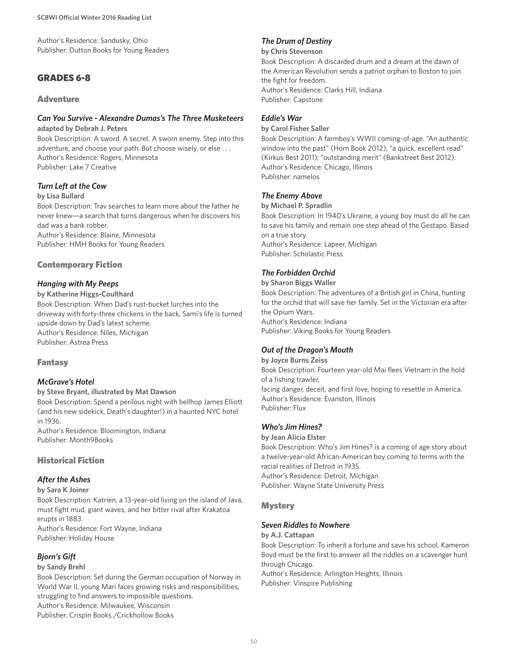Author's Residence: Sandusky, Ohio Publisher: Dutton Books for Young Readers

# GRADES 6-8

### **Adventure**

### *Can You Survive - Alexandre Dumas's The Three Musketeers*

**adapted by Debrah J. Peters** Book Description: A sword. A secret. A sworn enemy. Step into this adventure, and choose your path. But choose wisely, or else . . . Author's Residence: Rogers, Minnesota Publisher: Lake 7 Creative

### *Turn Left at the Cow*

#### **by Lisa Bullard**

Book Description: Trav searches to learn more about the father he never knew—a search that turns dangerous when he discovers his dad was a bank robber.

Author's Residence: Blaine, Minnesota Publisher: HMH Books for Young Readers

### Contemporary Fiction

#### *Hanging with My Peeps*

**by Katherine Higgs-Coulthard** Book Description: When Dad's rust-bucket lurches into the driveway with forty-three chickens in the back, Sami's life is turned upside down by Dad's latest scheme. Author's Residence: Niles, Michigan Publisher: Astrea Press

### Fantasy

### *McGrave's Hotel*

#### **by Steve Bryant, illustrated by Mat Dawson**

Book Description: Spend a perilous night with bellhop James Elliott (and his new sidekick, Death's daughter!) in a haunted NYC hotel in 1936.

Author's Residence: Bloomington, Indiana Publisher: Month9Books

### Historical Fiction

### *After the Ashes*

#### **by Sara K Joiner**

Book Description: Katrien, a 13-year-old living on the island of Java, must fight mud, giant waves, and her bitter rival after Krakatoa erupts in 1883. Author's Residence: Fort Wayne, Indiana Publisher: Holiday House

### *Bjorn's Gift*

#### **by Sandy Brehl**

Book Description: Set during the German occupation of Norway in World War II, young Mari faces growing risks and responsibilities, struggling to find answers to impossible questions.

Author's Residence: Milwaukee, Wisconsin Publisher: Crispin Books /Crickhollow Books

## *The Drum of Destiny*

**by Chris Stevenson**

Book Description: A discarded drum and a dream at the dawn of the American Revolution sends a patriot orphan to Boston to join the fight for freedom. Author's Residence: Clarks Hill, Indiana Publisher: Capstone

### *Eddie's War*

**by Carol Fisher Saller**

Book Description: A farmboy's WWII coming-of-age. "An authentic window into the past" (Horn Book 2012); "a quick, excellent read" (Kirkus Best 2011); "outstanding merit" (Bankstreet Best 2012). Author's Residence: Chicago, Illinois Publisher: namelos

### *The Enemy Above*

**by Michael P. Spradlin**

Book Description: In 1940's Ukraine, a young boy must do all he can to save his family and remain one step ahead of the Gestapo. Based on a true story. Author's Residence: Lapeer, Michigan Publisher: Scholastic Press

### *The Forbidden Orchid*

**by Sharon Biggs Waller** Book Description: The adventures of a British girl in China, hunting for the orchid that will save her family. Set in the Victorian era after the Opium Wars. Author's Residence: Indiana Publisher: Viking Books for Young Readers

### *Out of the Dragon's Mouth*

**by Joyce Burns Zeiss** Book Description: Fourteen year-old Mai flees Vietnam in the hold of a fishing trawler, facing danger, deceit, and first love, hoping to resettle in America. Author's Residence: Evanston, Illinois Publisher: Flux

### *Who's Jim Hines?*

# **by Jean Alicia Elster**

Book Description: Who's Jim Hines? is a coming of age story about a twelve-year-old African-American boy coming to terms with the racial realities of Detroit in 1935. Author's Residence: Detroit, Michigan Publisher: Wayne State University Press

### **Mystery**

### *Seven Riddles to Nowhere*

**by A.J. Cattapan**

Book Description: To inherit a fortune and save his school, Kameron Boyd must be the first to answer all the riddles on a scavenger hunt through Chicago.

Author's Residence: Arlington Heights, Illinois Publisher: Vinspire Publishing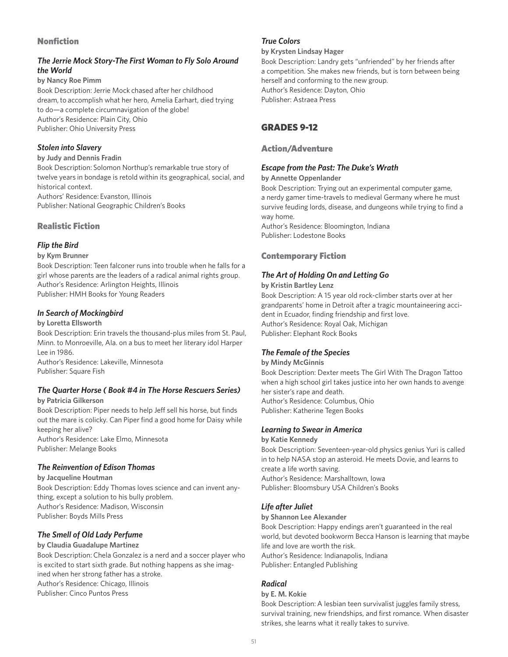## Nonfiction

# *The Jerrie Mock Story-The First Woman to Fly Solo Around the World*

**by Nancy Roe Pimm**

Book Description: Jerrie Mock chased after her childhood dream, to accomplish what her hero, Amelia Earhart, died trying to do—a complete circumnavigation of the globe! Author's Residence: Plain City, Ohio Publisher: Ohio University Press

### *Stolen into Slavery*

### **by Judy and Dennis Fradin**

Book Description: Solomon Northup's remarkable true story of twelve years in bondage is retold within its geographical, social, and historical context.

Authors' Residence: Evanston, Illinois Publisher: National Geographic Children's Books

# Realistic Fiction

# *Flip the Bird*

### **by Kym Brunner**

Book Description: Teen falconer runs into trouble when he falls for a girl whose parents are the leaders of a radical animal rights group. Author's Residence: Arlington Heights, Illinois Publisher: HMH Books for Young Readers

# *In Search of Mockingbird*

### **by Loretta Ellsworth**

Book Description: Erin travels the thousand-plus miles from St. Paul, Minn. to Monroeville, Ala. on a bus to meet her literary idol Harper Lee in 1986.

Author's Residence: Lakeville, Minnesota Publisher: Square Fish

#### *The Quarter Horse ( Book #4 in The Horse Rescuers Series)* **by Patricia Gilkerson**

Book Description: Piper needs to help Jeff sell his horse, but finds out the mare is colicky. Can Piper find a good home for Daisy while keeping her alive?

Author's Residence: Lake Elmo, Minnesota Publisher: Melange Books

# *The Reinvention of Edison Thomas*

### **by Jacqueline Houtman** Book Description: Eddy Thomas loves science and can invent anything, except a solution to his bully problem. Author's Residence: Madison, Wisconsin Publisher: Boyds Mills Press

# *The Smell of Old Lady Perfume*

### **by Claudia Guadalupe Martinez**

Book Description: Chela Gonzalez is a nerd and a soccer player who is excited to start sixth grade. But nothing happens as she imagined when her strong father has a stroke. Author's Residence: Chicago, Illinois Publisher: Cinco Puntos Press

### *True Colors*

#### **by Krysten Lindsay Hager**

Book Description: Landry gets "unfriended" by her friends after a competition. She makes new friends, but is torn between being herself and conforming to the new group. Author's Residence: Dayton, Ohio Publisher: Astraea Press

# GRADES 9-12

### Action/Adventure

## *Escape from the Past: The Duke's Wrath*

### **by Annette Oppenlander**

Book Description: Trying out an experimental computer game, a nerdy gamer time-travels to medieval Germany where he must survive feuding lords, disease, and dungeons while trying to find a way home.

Author's Residence: Bloomington, Indiana Publisher: Lodestone Books

# Contemporary Fiction

# *The Art of Holding On and Letting Go*

### **by Kristin Bartley Lenz**

Book Description: A 15 year old rock-climber starts over at her grandparents' home in Detroit after a tragic mountaineering accident in Ecuador, finding friendship and first love. Author's Residence: Royal Oak, Michigan Publisher: Elephant Rock Books

### *The Female of the Species*

### **by Mindy McGinnis** Book Description: Dexter meets The Girl With The Dragon Tattoo when a high school girl takes justice into her own hands to avenge her sister's rape and death. Author's Residence: Columbus, Ohio Publisher: Katherine Tegen Books

### *Learning to Swear in America*

### **by Katie Kennedy**

Book Description: Seventeen-year-old physics genius Yuri is called in to help NASA stop an asteroid. He meets Dovie, and learns to create a life worth saving. Author's Residence: Marshalltown, Iowa Publisher: Bloomsbury USA Children's Books

# *Life after Juliet*

### **by Shannon Lee Alexander**

Book Description: Happy endings aren't guaranteed in the real world, but devoted bookworm Becca Hanson is learning that maybe life and love are worth the risk. Author's Residence: Indianapolis, Indiana Publisher: Entangled Publishing

# *Radical*

### **by E. M. Kokie**

Book Description: A lesbian teen survivalist juggles family stress, survival training, new friendships, and first romance. When disaster strikes, she learns what it really takes to survive.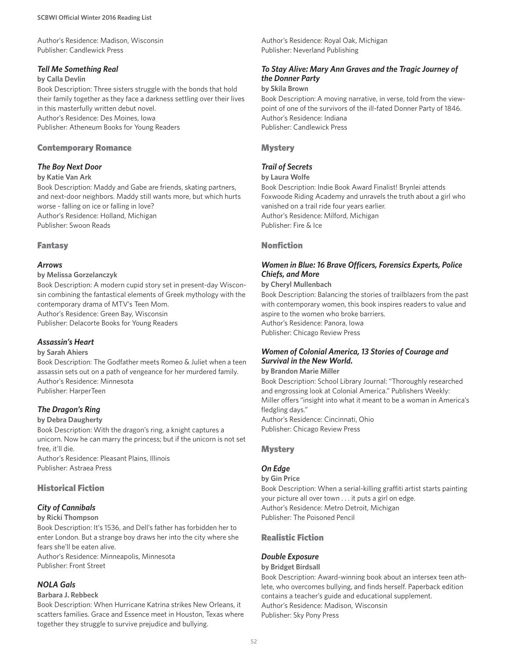Author's Residence: Madison, Wisconsin Publisher: Candlewick Press

#### *Tell Me Something Real*

#### **by Calla Devlin**

Book Description: Three sisters struggle with the bonds that hold their family together as they face a darkness settling over their lives in this masterfully written debut novel. Author's Residence: Des Moines, Iowa Publisher: Atheneum Books for Young Readers

#### Contemporary Romance

### *The Boy Next Door*

#### **by Katie Van Ark**

Book Description: Maddy and Gabe are friends, skating partners, and next-door neighbors. Maddy still wants more, but which hurts worse - falling on ice or falling in love? Author's Residence: Holland, Michigan Publisher: Swoon Reads

#### Fantasy

#### *Arrows*

#### **by Melissa Gorzelanczyk**

Book Description: A modern cupid story set in present-day Wisconsin combining the fantastical elements of Greek mythology with the contemporary drama of MTV's Teen Mom. Author's Residence: Green Bay, Wisconsin Publisher: Delacorte Books for Young Readers

### *Assassin's Heart*

#### **by Sarah Ahiers**

Book Description: The Godfather meets Romeo & Juliet when a teen assassin sets out on a path of vengeance for her murdered family. Author's Residence: Minnesota Publisher: HarperTeen

### *The Dragon's Ring*

#### **by Debra Daugherty**

Book Description: With the dragon's ring, a knight captures a unicorn. Now he can marry the princess; but if the unicorn is not set free, it'll die. Author's Residence: Pleasant Plains, Illinois

Publisher: Astraea Press

### Historical Fiction

### *City of Cannibals*

#### **by Ricki Thompson**

Book Description: It's 1536, and Dell's father has forbidden her to enter London. But a strange boy draws her into the city where she fears she'll be eaten alive. Author's Residence: Minneapolis, Minnesota

Publisher: Front Street

### *NOLA Gals*

#### **Barbara J. Rebbeck**

Book Description: When Hurricane Katrina strikes New Orleans, it scatters families. Grace and Essence meet in Houston, Texas where together they struggle to survive prejudice and bullying.

Author's Residence: Royal Oak, Michigan Publisher: Neverland Publishing

### *To Stay Alive: Mary Ann Graves and the Tragic Journey of the Donner Party*

#### **by Skila Brown**

Book Description: A moving narrative, in verse, told from the viewpoint of one of the survivors of the ill-fated Donner Party of 1846. Author's Residence: Indiana Publisher: Candlewick Press

#### **Mystery**

### *Trail of Secrets*

#### **by Laura Wolfe**

Book Description: Indie Book Award Finalist! Brynlei attends Foxwoode Riding Academy and unravels the truth about a girl who vanished on a trail ride four years earlier. Author's Residence: Milford, Michigan Publisher: Fire & Ice

### Nonfiction

### *Women in Blue: 16 Brave Officers, Forensics Experts, Police Chiefs, and More*

#### **by Cheryl Mullenbach**

Book Description: Balancing the stories of trailblazers from the past with contemporary women, this book inspires readers to value and aspire to the women who broke barriers. Author's Residence: Panora, Iowa Publisher: Chicago Review Press

*Women of Colonial America, 13 Stories of Courage and Survival in the New World.*

#### **by Brandon Marie Miller**

Book Description: School Library Journal: "Thoroughly researched and engrossing look at Colonial America." Publishers Weekly: Miller offers "insight into what it meant to be a woman in America's fledgling days." Author's Residence: Cincinnati, Ohio Publisher: Chicago Review Press

#### **Mystery**

### *On Edge*

**by Gin Price** Book Description: When a serial-killing graffiti artist starts painting your picture all over town . . . it puts a girl on edge. Author's Residence: Metro Detroit, Michigan Publisher: The Poisoned Pencil

### Realistic Fiction

#### *Double Exposure*

#### **by Bridget Birdsall**

Book Description: Award-winning book about an intersex teen athlete, who overcomes bullying, and finds herself. Paperback edition contains a teacher's guide and educational supplement. Author's Residence: Madison, Wisconsin Publisher: Sky Pony Press